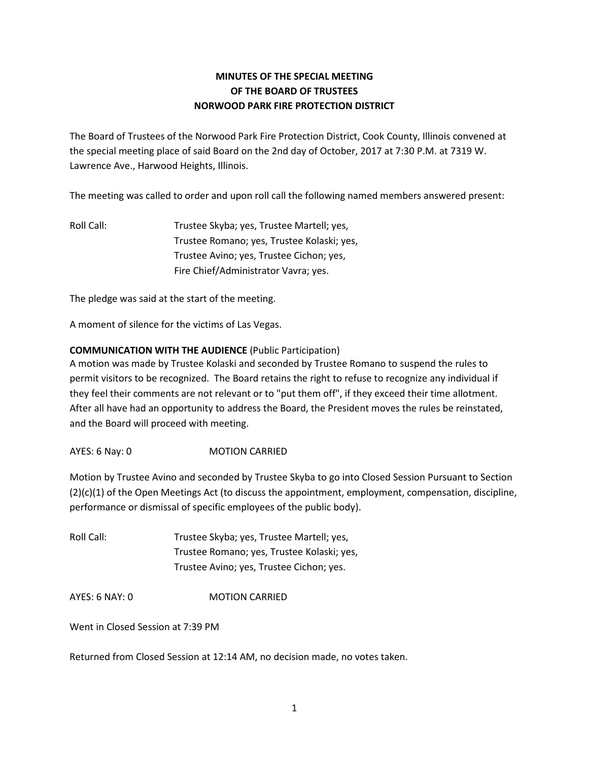## **MINUTES OF THE SPECIAL MEETING OF THE BOARD OF TRUSTEES NORWOOD PARK FIRE PROTECTION DISTRICT**

The Board of Trustees of the Norwood Park Fire Protection District, Cook County, Illinois convened at the special meeting place of said Board on the 2nd day of October, 2017 at 7:30 P.M. at 7319 W. Lawrence Ave., Harwood Heights, Illinois.

The meeting was called to order and upon roll call the following named members answered present:

Roll Call: Trustee Skyba; yes, Trustee Martell; yes, Trustee Romano; yes, Trustee Kolaski; yes, Trustee Avino; yes, Trustee Cichon; yes, Fire Chief/Administrator Vavra; yes.

The pledge was said at the start of the meeting.

A moment of silence for the victims of Las Vegas.

## **COMMUNICATION WITH THE AUDIENCE** (Public Participation)

A motion was made by Trustee Kolaski and seconded by Trustee Romano to suspend the rules to permit visitors to be recognized. The Board retains the right to refuse to recognize any individual if they feel their comments are not relevant or to "put them off", if they exceed their time allotment. After all have had an opportunity to address the Board, the President moves the rules be reinstated, and the Board will proceed with meeting.

AYES: 6 Nay: 0 MOTION CARRIED

Motion by Trustee Avino and seconded by Trustee Skyba to go into Closed Session Pursuant to Section (2)(c)(1) of the Open Meetings Act (to discuss the appointment, employment, compensation, discipline, performance or dismissal of specific employees of the public body).

Roll Call: Trustee Skyba; yes, Trustee Martell; yes, Trustee Romano; yes, Trustee Kolaski; yes, Trustee Avino; yes, Trustee Cichon; yes.

AYES: 6 NAY: 0 MOTION CARRIED

Went in Closed Session at 7:39 PM

Returned from Closed Session at 12:14 AM, no decision made, no votes taken.